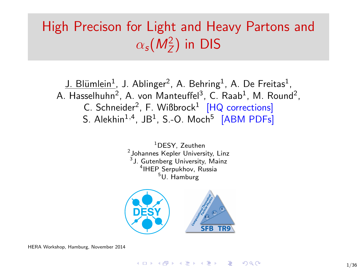# High Precison for Light and Heavy Partons and  $\alpha_{\sf s}(\mathit{M}_{\mathit{Z}}^2)$  in DIS

<u>J. Blümlein<sup>1</sup>,</u> J. Ablinger<sup>2</sup>, A. Behring<sup>1</sup>, A. De Freitas<sup>1</sup>, A. Hasselhuhn $^2$ , A. von Manteuffel $^3$ , C. Raab $^1$ , M. Round $^2$ , C. Schneider<sup>2</sup>, F. Wißbrock<sup>1</sup> [HQ corrections] S. Alekhin $^{1,4}$ , JB $^{1}$ , S.-O. Moch $^{5}$  [ABM PDFs]

> <sup>1</sup>DESY, Zeuthen 2 Johannes Kepler University, Linz <sup>3</sup>J. Gutenberg University, Mainz 4 IHEP Serpukhov, Russia  $5U.$  Hamburg



HERA Workshop, Hamburg, November 2014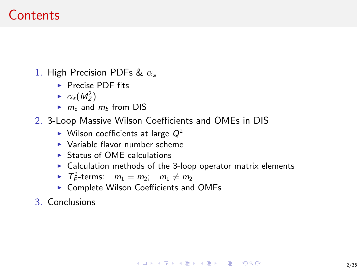# Contents

- 1. High Precision PDFs &  $\alpha_s$ 
	- $\blacktriangleright$  Precise PDF fits
	- $\triangleright \alpha_s(M_Z^2)$
	- $\blacktriangleright$  m<sub>c</sub> and m<sub>b</sub> from DIS
- 2. 3-Loop Massive Wilson Coefficients and OMEs in DIS
	- $\blacktriangleright$  Wilson coefficients at large  $Q^2$
	- $\blacktriangleright$  Variable flavor number scheme
	- $\triangleright$  Status of OME calculations
	- $\triangleright$  Calculation methods of the 3-loop operator matrix elements
	- $\blacktriangleright$   $T_F^2$ -terms:  $m_1 = m_2$ ;  $m_1 \neq m_2$
	- $\triangleright$  Complete Wilson Coefficients and OMEs
- 3. Conclusions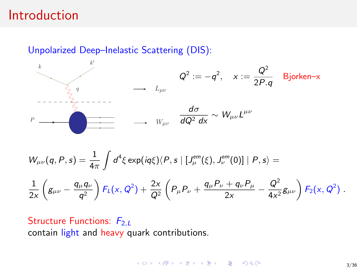## Introduction

Unpolarized Deep–Inelastic Scattering (DIS):



$$
W_{\mu\nu}(q, P, s) = \frac{1}{4\pi} \int d^4 \xi \exp(iq\xi) \langle P, s | [J_{\mu}^{em}(\xi), J_{\nu}^{em}(0)] | P, s \rangle =
$$
  

$$
\frac{1}{2x} \left( g_{\mu\nu} - \frac{q_{\mu}q_{\nu}}{q^2} \right) F_L(x, Q^2) + \frac{2x}{Q^2} \left( P_{\mu} P_{\nu} + \frac{q_{\mu} P_{\nu} + q_{\nu} P_{\mu}}{2x} - \frac{Q^2}{4x^2} g_{\mu\nu} \right) F_2(x, Q^2) .
$$

Structure Functions:  $F_{2,L}$ contain light and heavy quark contributions.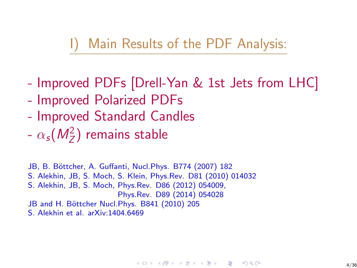# I) Main Results of the PDF Analysis:

- Improved PDFs [Drell-Yan & 1st Jets from LHC]
- Improved Polarized PDFs
- Improved Standard Candles
- $\alpha_{\sf s}({\it M}_{\rm Z}^2)$  remains stable

JB, B. Böttcher, A. Guffanti, Nucl.Phys. B774 (2007) 182 S. Alekhin, JB, S. Moch, S. Klein, Phys.Rev. D81 (2010) 014032 S. Alekhin, JB, S. Moch, Phys.Rev. D86 (2012) 054009, Phys.Rev. D89 (2014) 054028 JB and H. Böttcher Nucl.Phys. B841 (2010) 205 S. Alekhin et al. arXiv:1404.6469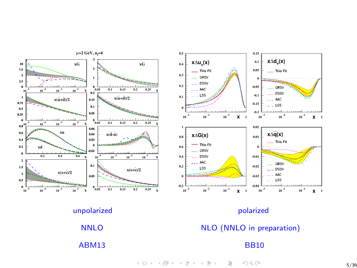



**K ロ ⊁ K 御 ⊁ K 差 K**  $290$ Þ B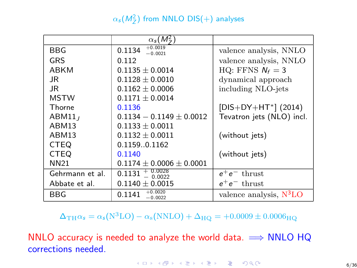### $\alpha_{\mathsf{s}}(\mathsf{M}_{\mathsf{Z}}^2)$  from NNLO DIS(+) analyses

|                    | $\alpha_s(M^2)$                  |                           |  |
|--------------------|----------------------------------|---------------------------|--|
| BBG                | $+0.0019$<br>0.1134<br>$-0.0021$ | valence analysis, NNLO    |  |
| GRS                | 0.112                            | valence analysis, NNLO    |  |
| ABKM               | $0.1135 \pm 0.0014$              | HQ: FFNS $N_f = 3$        |  |
| JR.                | $0.1128 \pm 0.0010$              | dynamical approach        |  |
| JR.                | $0.1162 \pm 0.0006$              | including NLO-jets        |  |
| <b>MSTW</b>        | $0.1171 \pm 0.0014$              |                           |  |
| Thorne             | 0.1136                           | $[DIS+DY+HT^*]$ (2014)    |  |
| ABM11 <sub>I</sub> | $0.1134 - 0.1149 \pm 0.0012$     | Tevatron jets (NLO) incl. |  |
| ABM13              | $0.1133 \pm 0.0011$              |                           |  |
| ABM13              | $0.1132 + 0.0011$                | (without jets)            |  |
| <b>CTEQ</b>        | 0.11590.1162                     |                           |  |
| <b>CTEQ</b>        | 0.1140                           | (without jets)            |  |
| NN21               | $0.1174 \pm 0.0006 \pm 0.0001$   |                           |  |
| Gehrmann et al.    | $0.1131 +$<br>$-0.0022$          | $e^+e^-$ thrust           |  |
| Abbate et al.      | $0.1140 \pm 0.0015$              | $e^+e^-$ thrust           |  |
| BBG                | $+0.0020$<br>0.1141<br>$-0.0022$ | valence analysis, $N3LO$  |  |

 $\Delta_{\text{TH}}\alpha_s = \alpha_s(\text{N}^3\text{LO}) - \alpha_s(\text{NNLO}) + \Delta_{\text{HO}} = +0.0009 \pm 0.0006_{\text{HO}}$ 

NNLO accuracy is needed to analyze the world data.  $\implies$  NNLO HQ corrections needed.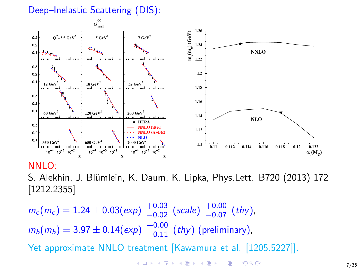### Deep–Inelastic Scattering (DIS):



#### NNLO:

S. Alekhin, J. Blümlein, K. Daum, K. Lipka, Phys.Lett. B720 (2013) 172 [1212.2355]

 $m_c(m_c) = 1.24 \pm 0.03(\text{exp})$   $^{+0.03}_{-0.02}$  (scale)  $^{+0.00}_{-0.07}$  (thy),  $m_b(m_b) = 3.97 \pm 0.14(\text{exp}) \frac{+0.00}{-0.11} (\text{thy}) \text{ (preliminary)},$ Yet approximate NNLO treatment [Kawamura et al. [1205.5227]].

> K ロ ▶ K 個 ▶ K 결 ▶ K 결 ▶ ○ 결 ...  $QQQ$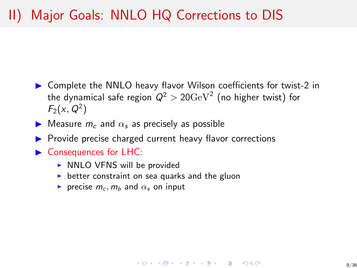# II) Major Goals: NNLO HQ Corrections to DIS

- $\triangleright$  Complete the NNLO heavy flavor Wilson coefficients for twist-2 in the dynamical safe region  $\mathsf{Q}^2 > 20 \mathrm{GeV}^2$  (no higher twist) for  $F_2(x, Q^2)$
- $\blacktriangleright$  Measure  $m_c$  and  $\alpha_s$  as precisely as possible
- ▶ Provide precise charged current heavy flavor corrections
- $\blacktriangleright$  Consequences for LHC:
	- $\triangleright$  NNLO VFNS will be provided
	- $\triangleright$  better constraint on sea quarks and the gluon
	- recise  $m_c$ ,  $m_b$  and  $\alpha_s$  on input

#### KEL KALA KELKEL KAR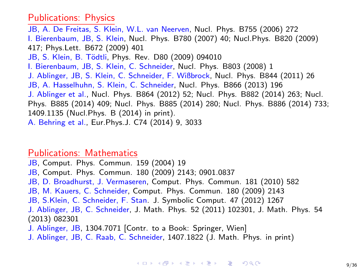#### Publications: Physics

JB, A. De Freitas, S. Klein, W.L. van Neerven, Nucl. Phys. B755 (2006) 272 I. Bierenbaum, JB, S. Klein, Nucl. Phys. B780 (2007) 40; Nucl.Phys. B820 (2009) 417; Phys.Lett. B672 (2009) 401 JB, S. Klein, B. Tödtli, Phys. Rev. D80 (2009) 094010 I. Bierenbaum, JB, S. Klein, C. Schneider, Nucl. Phys. B803 (2008) 1 J. Ablinger, JB, S. Klein, C. Schneider, F. Wißbrock, Nucl. Phys. B844 (2011) 26 JB, A. Hasselhuhn, S. Klein, C. Schneider, Nucl. Phys. B866 (2013) 196 J. Ablinger et al., Nucl. Phys. B864 (2012) 52; Nucl. Phys. B882 (2014) 263; Nucl. Phys. B885 (2014) 409; Nucl. Phys. B885 (2014) 280; Nucl. Phys. B886 (2014) 733; 1409.1135 (Nucl.Phys. B (2014) in print). A. Behring et al., Eur.Phys.J. C74 (2014) 9, 3033

#### Publications: Mathematics

JB, Comput. Phys. Commun. 159 (2004) 19 JB, Comput. Phys. Commun. 180 (2009) 2143; 0901.0837 JB, D. Broadhurst, J. Vermaseren, Comput. Phys. Commun. 181 (2010) 582 JB, M. Kauers, C. Schneider, Comput. Phys. Commun. 180 (2009) 2143 JB, S.Klein, C. Schneider, F. Stan. J. Symbolic Comput. 47 (2012) 1267 J. Ablinger, JB, C. Schneider, J. Math. Phys. 52 (2011) 102301, J. Math. Phys. 54 (2013) 082301 J. Ablinger, JB, 1304.7071 [Contr. to a Book: Springer, Wien]

J. Ablinger, JB, C. Raab, C. Schneider, 1407.1822 (J. Math. Phys. in print)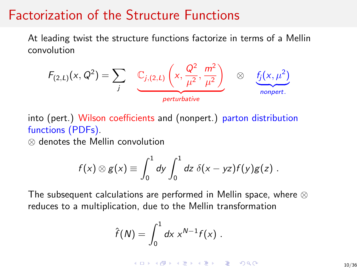# Factorization of the Structure Functions

At leading twist the structure functions factorize in terms of a Mellin convolution



into (pert.) Wilson coefficients and (nonpert.) parton distribution functions (PDFs).

⊗ denotes the Mellin convolution

$$
f(x) \otimes g(x) \equiv \int_0^1 dy \int_0^1 dz \, \delta(x - yz) f(y) g(z) .
$$

The subsequent calculations are performed in Mellin space, where ⊗ reduces to a multiplication, due to the Mellin transformation

$$
\hat{f}(N)=\int_0^1 dx x^{N-1}f(x).
$$

**KORK ER KERK ADA KOR**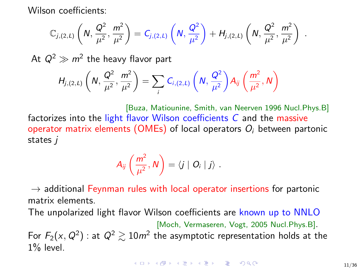Wilson coefficients:

$$
\mathbb{C}_{j,(2,L)}\left(N,\frac{Q^2}{\mu^2},\frac{m^2}{\mu^2}\right) = C_{j,(2,L)}\left(N,\frac{Q^2}{\mu^2}\right) + H_{j,(2,L)}\left(N,\frac{Q^2}{\mu^2},\frac{m^2}{\mu^2}\right) .
$$

At  $Q^2 \gg m^2$  the heavy flavor part

$$
H_{j,(2,L)}\left(N,\frac{Q^2}{\mu^2},\frac{m^2}{\mu^2}\right)=\sum_i C_{i,(2,L)}\left(N,\frac{Q^2}{\mu^2}\right)A_{ij}\left(\frac{m^2}{\mu^2},N\right)
$$

[Buza, Matiounine, Smith, van Neerven 1996 Nucl.Phys.B] factorizes into the light flavor Wilson coefficients C and the massive operator matrix elements (OMEs) of local operators  $O_i$  between partonic states j

$$
A_{ij}\left(\frac{m^2}{\mu^2},N\right)=\langle j\mid O_i\mid j\rangle.
$$

 $\rightarrow$  additional Feynman rules with local operator insertions for partonic matrix elements.

The unpolarized light flavor Wilson coefficients are known up to NNLO

[Moch, Vermaseren, Vogt, 2005 Nucl.Phys.B]. For  $F_2(x,Q^2)$  : at  $Q^2 \gtrsim 10m^2$  the asymptotic representation holds at the  $1\%$  level.

**KORKA BRADE PROVIDE**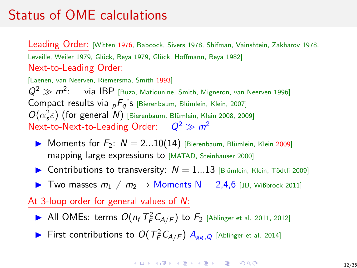# Status of OME calculations

Leading Order: [Witten 1976, Babcock, Sivers 1978, Shifman, Vainshtein, Zakharov 1978, Leveille, Weiler 1979, Glück, Reya 1979, Glück, Hoffmann, Reya 1982] Next-to-Leading Order:

[Laenen, van Neerven, Riemersma, Smith 1993]  $Q^2 \gg m^2$ : via IBP [Buza, Matiounine, Smith, Migneron, van Neerven 1996] Compact results via  $_{p}F_{q}$ 's [Bierenbaum, Blümlein, Klein, 2007]  $O(\alpha_s^2 \varepsilon)$  (for general N) [Bierenbaum, Blümlein, Klein 2008, 2009] Next-to-Next-to-Leading Order:  $Q^2 \gg m^2$ 

- Moments for  $F_2$ :  $N = 2...10(14)$  [Bierenbaum, Blümlein, Klein 2009] mapping large expressions to [MATAD, Steinhauser 2000]
- ▶ Contributions to transversity:  $N = 1...13$  [Blümlein, Klein, Tödtli 2009]
- ▶ Two masses  $m_1 \neq m_2 \rightarrow$  Moments N = 2,4,6 [JB, Wißbrock 2011]

### At 3-loop order for general values of N:

- All OMEs: terms  $O(n_f T_F^2 C_{A/F})$  to  $F_2$  [Ablinger et al. 2011, 2012]
- First contributions to  $O(T_F^2 C_{A/F})$   $A_{gg,Q}$  [Ablinger et al. 2014]

**KORKA ERKER EL VAN**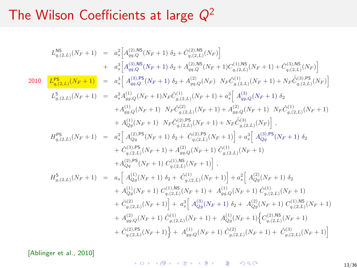$$
L_{q,(2,L)}^{NS}(N_{F}+1) = a_{s}^{2} \Big[ A_{qq,Q}^{(2),NS}(N_{F}+1) \delta_{2} + \hat{C}_{q,(2,L)}^{(2),NS}(N_{F}) \Big] + a_{s}^{3} \Big[ A_{qq,Q}^{(2),NS}(N_{F}+1) \delta_{2} + A_{qq,Q}^{(2),NS}(N_{F}+1) C_{q,(2,L)}^{(1),NS}(N_{F}+1) + \hat{C}_{q,(2,L)}^{(3),NS}(N_{F}) \Big] + a_{s}^{3} \Big[ A_{qq,Q}^{(3),NS}(N_{F}+1) \delta_{2} + A_{qq,Q}^{(2),NS}(N_{F}+1) C_{q,(2,L)}^{(1),NS}(N_{F}+1) + N_{F} \hat{C}_{q,(2,L)}^{(3),PS}(N_{F}) \Big] + \frac{D_{q,(2,L)}^{SS}(N_{F}+1)}{L_{g,(2,L)}^{S}(N_{F}+1)} = a_{s}^{2} A_{gg,Q}^{(1)}(N_{F}+1) N_{F} \hat{C}_{g,(2,L)}^{(1)}(N_{F}+1) + a_{s}^{3} \Big[ A_{qq,Q}^{(3)}(N_{F}+1) \delta_{2} + A_{gg,Q}^{(1)}(N_{F}+1) N_{F} \hat{C}_{g,(2,L)}^{(2)}(N_{F}+1) + A_{g,g,Q}^{(2)}(N_{F}+1) N_{F} \hat{C}_{g,(2,L)}^{(1)}(N_{F}+1) + A_{q,g,Q}^{(1)}(N_{F}+1) N_{F} \hat{C}_{g,(2,L)}^{(2),NS}(N_{F}+1) + N_{F} \hat{C}_{g,(2,L)}^{(3)}(N_{F}) \Big], H_{q,(2,L)}^{PS}(N_{F}+1) = a_{s}^{2} \Big[ A_{qq}^{(2),PS}(N_{F}+1) \delta_{2} + \hat{C}_{q,(2,L)}^{(3),PS}(N_{F}+1) \hat{C}_{g,(2,L)}^{(1)}(N_{F}+1) \Big], H_{q,(2,N)}^{SS}(N_{F}+1) \hat{C}_{q,(2,L)}^{(1),NS}(N_{F}+1) \Big],
$$
  

$$
H_{q,(2,N)}^{SS}(N_{F}+1) = a_{s} \Big[ A_{qq}^{(1)}(N
$$

[Ablinger et al., 2010]

K ロ K イロ K モ K モ K モ X モ コ エ マク Q Q Q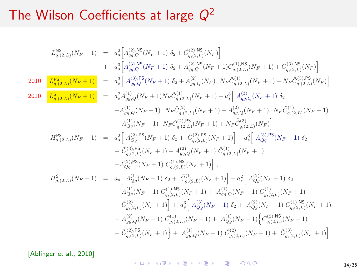$$
L_{q,(2,L)}^{NS}(N_{F}+1) = a_{s}^{2} \Big[ A_{qq,Q}^{(2),NS}(N_{F}+1) \delta_{2} + \hat{C}_{q,(2,L)}^{(2),NS}(N_{F}) \Big] + a_{s}^{3} \Big[ A_{qq,Q}^{(2),NS}(N_{F}+1) \delta_{2} + A_{qq,Q}^{(2),NS}(N_{F}+1) C_{q,(2,L)}^{(1),NS}(N_{F}+1) + \hat{C}_{q,(2,L)}^{(3),NS}(N_{F}) \Big] 2010 \frac{L_{q,(2,L)}^{PS}(N_{F}+1)}{L_{q,(2,L)}^{SS}(N_{F}+1)} = a_{s}^{3} \Big[ A_{qq,Q}^{(3),PS}(N_{F}+1) \delta_{2} + A_{qq,Q}^{(2)}(N_{F}) \ N_{F} \hat{C}_{q,(2,L)}^{(1)}(N_{F}+1) + N_{F} \hat{C}_{q,(2,L)}^{(3),PS}(N_{F}) \Big] 2010 \frac{L_{q,(2,L)}^{SS}(N_{F}+1)}{L_{g,(2,L)}^{SS}(N_{F}+1)} = a_{s}^{2} A_{gg,Q}^{(1)}(N_{F}+1) N_{F} \hat{C}_{g,(2,L)}^{(1)}(N_{F}+1) + a_{s}^{3} \Big[ A_{qq,Q}^{(3)}(N_{F}+1) \delta_{2} + A_{gg,Q}^{(1)}(N_{F}+1) \ N_{F} \hat{C}_{g,(2,L)}^{(2)}(N_{F}+1) + A_{gg,Q}^{(2)}(N_{F}+1) \ N_{F} \hat{C}_{g,(2,L)}^{(1)}(N_{F}) \Big], H_{q,(2,L)}^{PS}(N_{F}+1) = a_{s}^{2} \Big[ A_{qq}^{(2),PS}(N_{F}+1) \delta_{2} + \hat{C}_{q,(2,L)}^{(3),PS}(N_{F}+1) + N_{F} \hat{C}_{g,(2,L)}^{(3)}(N_{F}) \Big], H_{q,(2,L)}^{PS}(N_{F}+1) = a_{s}^{2} \Big[ A_{qq}^{(2),PS}(N_{F}+1) \delta_{2} + \hat{C}_{q,(2,L)}^{(3),PS}(N_{F}+1) \hat{C}_{g,(2,L)}^{(1)}(N_{F}+1) \Big] + A_{qq}^{(2)}
$$

[Ablinger et al., 2010]

<span id="page-13-0"></span>K ロ K イロ K モ K モ K モ X モ コ エ マク Q Q Q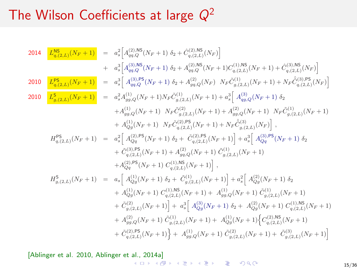2014 
$$
\begin{array}{rcl} \mathcal{L}^{\text{NS}}_{q,(2,L)}(N_{F}+1) & = & a_{s}^{2}\Big[A^{(2),\text{NS}}_{q,q,Q}(N_{F}+1)\,\delta_{2}+ \hat{C}^{(2),\text{NS}}_{q,(2,L)}(N_{F})\Big] \\ & + & a_{s}^{3}\Big[A^{(3),\text{NS}}_{q,q,Q}(N_{F}+1)\,\delta_{2}+ A^{(2),\text{NS}}_{q,q,Q}(N_{F}+1)C^{(1),\text{NS}}_{q,(2,L)}(N_{F}+1)+\hat{C}^{(3),\text{NS}}_{q,(2,L)}(N_{F})\Big] \\ \\ & = & a_{s}^{3}\Big[A^{(3),\text{NS}}_{q,q,Q}(N_{F}+1)\,\delta_{2}+ A^{(2),\text{NS}}_{q,q,Q}(N_{F})\,\,Nr\,\hat{C}^{(1)}_{q,(2,L)}(N_{F}+1)+N_{F}\hat{C}^{(3),\text{DS}}_{q,(2,L)}(N_{F})\Big] \\ \\ & = & a_{s}^{2}A^{(1)}_{q,q,Q}(N_{F}+1)N_{F}\hat{C}^{(1)}_{q,(2,L)}(N_{F}+1)+a_{s}^{2}\Big[A^{(3)}_{q,q,Q}(N_{F}+1)\,\,\delta_{\tilde{L}} \\ & +A^{(1)}_{q,g,Q}(N_{F}+1)\,\,Nr\hat{C}^{(2)}_{q,(2,L)}(N_{F}+1)+A^{(2)}_{q,g,Q}(N_{F}+1)\,\,Nr\hat{C}^{(1)}_{q,(2,L)}(N_{F}+1) \\ & +A^{(1)}_{q,g,Q}(N_{F}+1)\,\,Nr\hat{C}^{(2),\text{PS}}_{q,(2,L)}(N_{F}+1)+N_{F}\hat{C}^{(3)}_{q,(2,L)}(N_{F})\Big]\,,\\ H^{PS}_{q,(2,L)}(N_{F}+1) & = & a_{s}^{2}\Big[A^{(2),\text{PS}}_{q,q}(N_{F}+1)\,\delta_{2}+\hat{C}^{(2),\text{PS}}_{q,(2,L)}(N_{F}+1)\Big+A^{(3)}_{q,g,Q}(N_{F}+1)\,\delta_{2}\\ & +\hat{C}^{(3),\text{PS}}_{q,(2,L)}(N_{F}+1)+A^{(2)}_{q,g,Q}(N_{F}+1)\,\hat{C}^{(1)}_{q,(
$$

[Ablinger et al. 2010, Ablinger et [al.,](#page-13-0) [201](#page-15-0)[4](#page-13-0)[a\]](#page-14-0)

<span id="page-14-0"></span>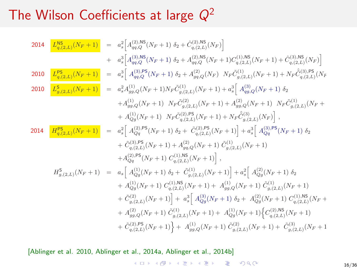2014 
$$
\frac{L_{q,(2,L)}^{\text{NS}}(N_F+1)}{I_{q,(2,L)}^{\text{ES}}(N_F+1)} = a_s^2 \Big[ A_{q,q,Q}^{(2),\text{NS}}(N_F+1) \delta_2 + \hat{C}_{q,(2,L)}^{(2),\text{NS}}(N_F+1) C_{q,(2,L)}^{(1),\text{NS}}(N_F+1) + \hat{C}_{q,(2,L)}^{(3),\text{NS}}(N_F) \Big]
$$
  
\n2010 
$$
\frac{L_{q,(2,L)}^{\text{PS}}(N_F+1)}{L_{g,(2,L)}^{\text{S}}(N_F+1)} = a_s^3 \Big[ A_{q,q,Q}^{(3),\text{PS}}(N_F+1) \delta_2 + A_{qq,Q}^{(2),\text{NS}}(N_F) \ N_F \hat{C}_{q,(2,L)}^{(1)}(N_F+1) + N_F \hat{C}_{q,(2,L)}^{(3),\text{PS}}(N_F+1) + \hat{C}_{q,(2,L)}^{(3),\text{PS}}(N_F+1) + \hat{C}_{q,(2,L)}^{(3),\text{PS}}(N_F+1) + \hat{C}_{q,(2,L)}^{(3),\text{PS}}(N_F+1) + \hat{C}_{q,(2,L)}^{(3),\text{PS}}(N_F+1) \delta_2
$$
  
\n2010 
$$
\frac{L_{q,(2,L)}^{\text{PS}}(N_F+1)}{L_{g,(2,L)}^{\text{S}}(N_F+1)} = a_s^2 A_{g,q,Q}^{(1)}(N_F+1) N_F \hat{C}_{g,(2,L)}^{(1)}(N_F+1) + a_s^3 \Big[ A_{q,q,Q}^{(3)}(N_F+1) \ N_F \hat{C}_{g,(2,L)}^{(3)}(N_F+1) + A_{qg,(2,R)}^{(2),\text{PS}}(N_F+1) + \hat{C}_{q,(2,L)}^{(3),\text{PS}}(N_F+1) + \hat{C}_{q,(2,L)}^{(3),\text{PS}}(N_F+1) + \hat{C}_{q,(2,L)}^{(3),\text{PS}}(N_F+1) + \hat{C}_{q,(2,L)}^{(3),\text{PS}}(N_F+1) + \hat{C}_{q,(2,L)}^{(3),\text{PS}}(N_F+1) + \hat{C}_{q,(2,L)}^{(3),\text{PS}}(N_F+1) + \hat{C}_{q,(2,L)}
$$

[Ablinger et al. 2010, Ablinger et al., 2014a, Ablinger et al., 2014b]

<span id="page-15-0"></span>KORK@RKERKER E 1990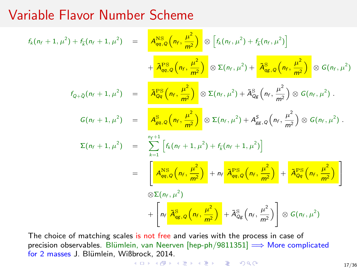# Variable Flavor Number Scheme

$$
f_{k}(n_{f}+1,\mu^{2})+f_{\overline{k}}(n_{f}+1,\mu^{2}) = \frac{A_{qq,Q}^{NS} \left(n_{f},\frac{\mu^{2}}{m^{2}}\right) \otimes \left[f_{k}(n_{f},\mu^{2})+f_{\overline{k}}(n_{f},\mu^{2})\right]}{4\frac{A_{qq,Q}^{PS} \left(n_{f},\frac{\mu^{2}}{m^{2}}\right)} \otimes \Sigma(n_{f},\mu^{2}) + \frac{A_{qg,Q}^{SS} \left(n_{f},\frac{\mu^{2}}{m^{2}}\right) \otimes G(n_{f},\mu^{2})}{4\frac{A_{qq,Q}^{OS} \left(n_{f},\frac{\mu^{2}}{m^{2}}\right)} \otimes G(n_{f},\mu^{2})}.
$$
  
\n
$$
f_{Q+\overline{Q}}(n_{f}+1,\mu^{2}) = \frac{A_{gq,Q}^{SS} \left(n_{f},\frac{\mu^{2}}{m^{2}}\right) \otimes \Sigma(n_{f},\mu^{2}) + \tilde{A}_{Qg}^{S} \left(n_{f},\frac{\mu^{2}}{m^{2}}\right) \otimes G(n_{f},\mu^{2}).
$$
  
\n
$$
\Sigma(n_{f}+1,\mu^{2}) = \sum_{k=1}^{n_{f}+1} \left[f_{k}(n_{f}+1,\mu^{2}) + f_{\overline{k}}(n_{f}+1,\mu^{2})\right]
$$
  
\n
$$
= \frac{A_{qq,Q}^{NS} \left(n_{f},\frac{\mu^{2}}{m^{2}}\right) + n_{f} \frac{A_{qq,Q}^{PS} \left(n_{f},\frac{\mu^{2}}{m^{2}}\right)}{4\frac{A_{qq,Q}^{NS} \left(n_{f},\frac{\mu^{2}}{m^{2}}\right)} + \frac{A_{Qq}^{PS} \left(n_{f},\frac{\mu^{2}}{m^{2}}\right)}{\tilde{Q}\Sigma(n_{f},\mu^{2})}
$$
  
\n
$$
+ \left[n_{f} \frac{A_{qg,Q}^{SS} \left(n_{f},\frac{\mu^{2}}{m^{2}}\right)}{4\frac{A_{qg,Q}^{SS} \left(n_{f},\frac{\mu^{2}}{m^{2}}\right)} + \tilde{A}_{Qg}^{SS} \left(n_{f},\frac{\mu^{2}}{m^{2}}\right)}\right] \otimes G(n_{f},\mu^{2})
$$

The choice of matching scales is not free and varies with the process in case of precision observables. Blümlein, van Neerven  $[hep-ph/9811351] \Longrightarrow$  More complicated for 2 masses J. Blümlein, Wi[ßbr](#page-15-0)o[ck,](#page-17-0) [2](#page-15-0)[01](#page-16-0)[4.](#page-17-0)

<span id="page-16-0"></span>
$$
4 \Box \rightarrow 4 \Box \rightarrow 4 \Xi \rightarrow 4 \Xi \rightarrow 4 \Box 2 \rightarrow 0 \Box 0 \Box
$$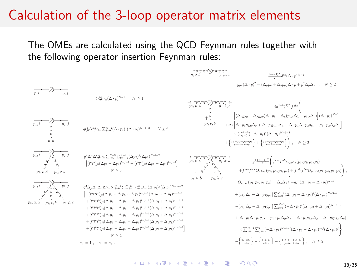### Calculation of the 3-loop operator matrix elements

The OMEs are calculated using the QCD Feynman rules together with the following operator insertion Feynman rules:



<span id="page-17-0"></span>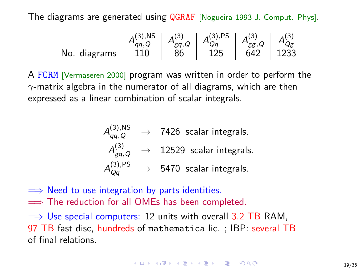The diagrams are generated using QGRAF [Nogueira 1993 J. Comput. Phys].

|                  | NS. |    | ບ  | $\sigma\sigma$<br>w |  |
|------------------|-----|----|----|---------------------|--|
| diagrams<br>INO. | ∸∼  | 86 | ∸∠ | 642                 |  |

A FORM [Vermaseren 2000] program was written in order to perform the  $\gamma$ -matrix algebra in the numerator of all diagrams, which are then expressed as a linear combination of scalar integrals.

$$
A_{qq,Q}^{(3),\text{NS}} \rightarrow 7426
$$
 scalar integrals.  
\n
$$
A_{gq,Q}^{(3)} \rightarrow 12529
$$
 scalar integrals.  
\n
$$
A_{Qq}^{(3),\text{PS}} \rightarrow 5470
$$
 scalar integrals.

- $\implies$  Need to use integration by parts identities.
- $\implies$  The reduction for all OMEs has been completed.

 $\implies$  Use special computers: 12 units with overall 3.2 TB RAM, 97 TB fast disc, hundreds of mathematica lic. ; IBP: several TB of final relations.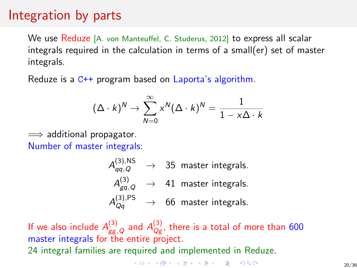# Integration by parts

We use Reduze [A. von Manteuffel, C. Studerus, 2012] to express all scalar integrals required in the calculation in terms of a small(er) set of master integrals.

Reduze is a C++ program based on Laporta's algorithm.

$$
(\Delta \cdot k)^N \to \sum_{N=0}^{\infty} x^N (\Delta \cdot k)^N = \frac{1}{1 - x\Delta \cdot k}
$$

 $\implies$  additional propagator. Number of master integrals:

$$
\begin{array}{rcl}\nA_{qq,Q}^{(3),\rm NS} & \rightarrow & 35 \text{ master integrals.} \\
A_{gq,Q}^{(3)} & \rightarrow & 41 \text{ master integrals.} \\
A_{Qq}^{(3),\rm PS} & \rightarrow & 66 \text{ master integrals.}\n\end{array}
$$

If we also include  $A_{\rm gg,\,Q}^{(3)}$  and  $A_{\rm Qg}^{(3)}$ , there is a total of more than 600 master integrals for the entire project. 24 integral families are required and implemented in Reduze.

<span id="page-19-0"></span>**KORK ER KERK ADA KOR**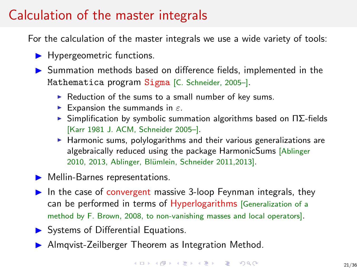# Calculation of the master integrals

For the calculation of the master integrals we use a wide variety of tools:

- $\blacktriangleright$  Hypergeometric functions.
- **In Summation methods based on difference fields, implemented in the** Mathematica program Sigma [C. Schneider, 2005–].
	- $\triangleright$  Reduction of the sums to a small number of key sums.
	- Expansion the summands in  $\varepsilon$ .
	- $\triangleright$  Simplification by symbolic summation algorithms based on  $\Pi\Sigma$ -fields [Karr 1981 J. ACM, Schneider 2005–].
	- $\blacktriangleright$  Harmonic sums, polylogarithms and their various generalizations are algebraically reduced using the package HarmonicSums [Ablinger 2010, 2013, Ablinger, Blümlein, Schneider 2011, 2013].
- $\triangleright$  Mellin-Barnes representations.
- In the case of convergent massive 3-loop Feynman integrals, they can be performed in terms of Hyperlogarithms [Generalization of a method by F. Brown, 2008, to non-vanishing masses and local operators].
- $\triangleright$  Systems of Differential Equations.
- <span id="page-20-0"></span>**In Almqvist-Zeilberger Theorem as Integration Method.**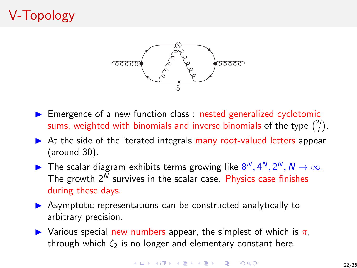# V-Topology



- $\triangleright$  Emergence of a new function class : nested generalized cyclotomic sums, weighted with binomials and inverse binomials of the type  $\binom{2i}{i}$ .
- $\triangleright$  At the side of the iterated integrals many root-valued letters appear (around 30).
- The scalar diagram exhibits terms growing like  $8^N$ ,  $4^N$ ,  $2^N$ ,  $N \rightarrow \infty$ . The growth  $2^N$  survives in the scalar case. Physics case finishes during these days.
- $\triangleright$  Asymptotic representations can be constructed analytically to arbitrary precision.
- $\triangleright$  Various special new numbers appear, the simplest of which is  $\pi$ , through which  $\zeta_2$  is no longer and elementary constant here.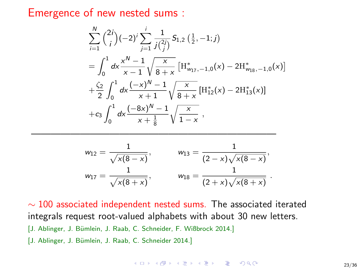Emergence of new nested sums :

$$
\sum_{i=1}^{N} {\binom{2i}{i}} (-2)^i \sum_{j=1}^{i} \frac{1}{j{\binom{2i}{j}}} S_{1,2} (\frac{1}{2}, -1; j)
$$
\n
$$
= \int_0^1 dx \frac{x^N - 1}{x - 1} \sqrt{\frac{x}{8 + x}} [H_{w_{17}, -1,0}^*(x) - 2H_{w_{18}, -1,0}^*(x)]
$$
\n
$$
+ \frac{\zeta_2}{2} \int_0^1 dx \frac{(-x)^N - 1}{x + 1} \sqrt{\frac{x}{8 + x}} [H_{12}^*(x) - 2H_{13}^*(x)]
$$
\n
$$
+ c_3 \int_0^1 dx \frac{(-8x)^N - 1}{x + \frac{1}{8}} \sqrt{\frac{x}{1 - x}},
$$

$$
w_{12} = \frac{1}{\sqrt{x(8-x)}}, \qquad w_{13} = \frac{1}{(2-x)\sqrt{x(8-x)}},
$$
  

$$
w_{17} = \frac{1}{\sqrt{x(8+x)}}, \qquad w_{18} = \frac{1}{(2+x)\sqrt{x(8+x)}}.
$$

—————————————————————————

 $\sim$  100 associated independent nested sums. The associated iterated integrals request root-valued alphabets with about 30 new letters. [J. Ablinger, J. Bümlein, J. Raab, C. Schneider, F. Wißbrock 2014.] [J. Ablinger, J. Bümlein, J. Raab, C. Schneider 2014.]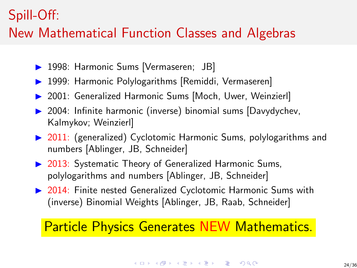## Spill-Off:

# New Mathematical Function Classes and Algebras

- 1998: Harmonic Sums [Vermaseren; JB]
- 1999: Harmonic Polylogarithms [Remiddi, Vermaseren]
- ▶ 2001: Generalized Harmonic Sums [Moch, Uwer, Weinzierl]
- $\triangleright$  2004: Infinite harmonic (inverse) binomial sums [Davydychev, Kalmykov; Weinzierl]
- ▶ 2011: (generalized) Cyclotomic Harmonic Sums, polylogarithms and numbers [Ablinger, JB, Schneider]
- ▶ 2013: Systematic Theory of Generalized Harmonic Sums, polylogarithms and numbers [Ablinger, JB, Schneider]
- ▶ 2014: Finite nested Generalized Cyclotomic Harmonic Sums with (inverse) Binomial Weights [Ablinger, JB, Raab, Schneider]

### Particle Physics Generates NEW Mathematics.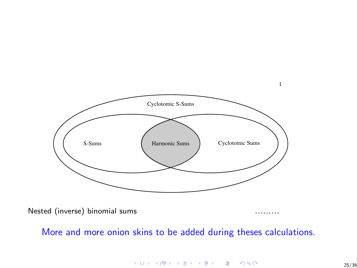

Nested (inverse) binomial sums

More and more onion skins to be added during theses calculations.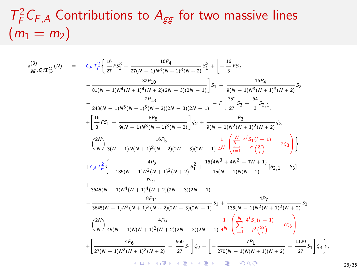# $T_F^2 C_{F,A}$  Contributions to  $A_{gg}$  for two massive lines  $(m_1 = m_2)$

$$
s_{gg,Q,T_{F}^{2}}^{(3)}(N) = c_{F}T_{F}^{2}\left\{\frac{16}{27}F_{3}^{3} + \frac{16P_{4}}{27(N-1)N^{3}(N+1)^{3}(N+2)}F_{1}^{2} + \left[-\frac{16}{3}F_{2}^{2} - \frac{16P_{4}}{81(N-1)N^{3}(N+1)^{4}(N+2)(2N-3)(2N-1)}\right]S_{1} - \frac{16P_{4}}{9(N-1)N^{3}(N+1)^{3}(N+2)}S_{2}
$$
  

$$
- \frac{2P_{13}}{243(N-1)N^{5}(N+1)^{5}(N+2)(2N-3)(2N-1)} - F\left[\frac{352}{27}S_{3} - \frac{64}{3}S_{2,1}\right]
$$

$$
+ \left[\frac{16}{3}F_{51} - \frac{8P_{8}}{9(N-1)N^{3}(N+1)^{3}(N+2)}\right]C_{2} + \frac{P_{3}}{9(N-1)N^{2}(N+1)^{2}(N+2)}C_{3}
$$

$$
- \left(\frac{2N}{N}\right)\frac{16P_{5}}{3(N-1)N(N+1)^{2}(N+2)(2N-3)(2N-1)}\frac{1}{4N}\left(\sum_{i=1}^{M}\frac{4^{i}S_{1}(i-1)}{i^{2}(\frac{2^{i}}{i})} - 7C_{3}\right)\right\}
$$

$$
+ C_{A}T_{F}^{2}\left\{-\frac{4P_{2}}{135(N-1)N^{2}(N+1)^{2}(N+2)}S_{1}^{2} + \frac{16(4N^{3}+4N^{2}-7N+1)}{15(N-1)N(N+1)}[S_{2,1} - S_{3}]
$$

$$
+ \frac{P_{12}}{3645(N-1)N^{4}(N+1)^{4}(N+2)(2N-3)(2N-1)}
$$

$$
- \frac{8P_{11}}{3645(N-1)N^{3}(N+1)^{3}(N+2)(2N-3)(2N-1)}S_{1} + \frac{4P_{7}}{135(N-1)N^{2}(N+1)^{2}(N+2)}S_{2}
$$

$$
- \left(\frac{2N}{N}\right)\frac{4
$$

26/36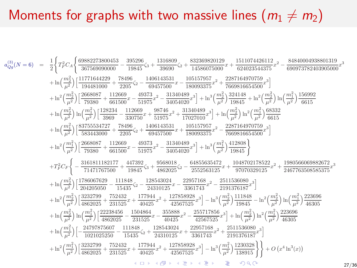# Moments for graphs with two massive lines  $(m_1 \neq m_2)$

$$
\begin{array}{rcl} a_{Qg}^{(3)}(N=6)&=&\frac{1}{2}\Bigg\{T_F^2C_A\Bigg\{\frac{69882273800453}{367569090000}-\frac{395296}{19845}\zeta_3+\frac{1316809}{39690}\zeta_2+\frac{832369820129}{14586075000}x+\frac{1511074426112}{624023544375}x^2-\frac{84840004938801319}{600973782403905000}x^3\\&+\ln\Big(\frac{m_2^2}{\mu^2}\Big)\Big[\frac{11771644209}{194481000}+\frac{78496}{2205} \zeta_2-\frac{1406143531}{68457500}x-\frac{105157957}{105093375}x^2+\frac{2287164970759}{28045600}x^3\Bigg]\\&+\ln\Big(\frac{m_2^2}{\mu^2}\Big)\ln\Big(\frac{m_1^2}{\mu^2}\Big)\frac{126698}{79380}+\frac{112669}{661500}x-\frac{49373}{51975}x^2-\frac{31340489}{360504020}x^3\Bigg]+\ln^3\Big(\frac{m_2^2}{\mu^2}\Big)\frac{324148}{19845}+\ln^2\Big(\frac{m_2^2}{\mu^2}\Big)\ln\Big(\frac{m_1^2}{\mu^2}\Big)\frac{166992}{6615}\\&+\ln\Big(\frac{m_1^2}{\mu^2}\Big)\Big[\frac{83755544727}{33960}+\frac{78496}{50250}x+\frac{973746}{19975}x^2+\frac{13340489}{17027010}x^3\Bigg]+\ln^2\Big(\frac{m_1^2}{\mu^2}\Big)\frac{12677}{6615}\\&+\ln^2\Big(\frac{m_1^2}{\mu^2}\Big)\Big[\frac{2668087}{339
$$

27/36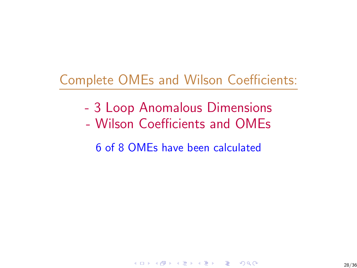# Complete OMEs and Wilson Coefficients:

- 3 Loop Anomalous Dimensions
- Wilson Coefficients and OMEs

6 of 8 OMEs have been calculated

K ロ ▶ K 個 ▶ K 할 ▶ K 할 ▶ 이 할 → 9 Q Q\*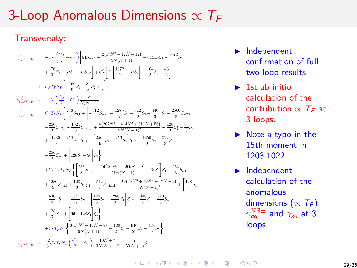# 3-Loop Anomalous Dimensions  $\propto T_F$

### Transversity:

$$
\begin{array}{rcl} \gamma_{q\bar{q},\rm NS,TR}^{(1)}&=&-C_F\left(\frac{C_A}{2}-C_F\right)\bigg[64S_{-2,1}+\frac{2(17N^2+17N-12)}{3N(N+1)}-64S_{-2}S_1-\frac{1072}{9}S_1\\& &+\frac{176}{3}S_2-32S_3-32S_{-2}\bigg]+C_F^2\bigg[S_1\bigg[\frac{1072}{9}-32S_2\bigg]-\frac{104}{3}S_2-\frac{43}{3}\bigg]\\&+&C_FT_FN_F\bigg[-\frac{160}{9}S_1+\frac{32}{3}S_2+\frac{4}{3}\bigg],\\ \gamma_{q\bar{q},\rm NS,TR}^{(1)}&=&-C_F\left(\frac{C_A}{2}-C_F\right)\frac{8}{N(N+1)}\\ \gamma_{q\bar{q},\rm NS,TR}^{(2)}&=&C_F^2T_FN_F\bigg[\frac{256}{3}S_{3,1}+\bigg[-\frac{512}{3}S_{-2,1}+\frac{1280}{9}S_2-\frac{512}{3}S_3-\frac{440}{3}\bigg]S_1-\frac{2560}{9}S_{-2,1}\\&-\frac{256}{3}S_{-2,2}+\frac{1024}{3}S_{-2,1,1}+\frac{4(207N^3+414N^2+311N+56)}{9N(N+1)^2}-\frac{128}{3}S_2^2-\frac{80}{3}S_2\\&+\bigg[\frac{11280}{9}-\frac{256}{3}S_1\bigg]S_{-3}+\bigg[\frac{2560}{9}S_1-\frac{256}{3}S_2\bigg]S_{-2}+\frac{1856}{9}S_3-\frac{512}{3}S_4\\&-\frac{256}{3}S_{-4}+\bigg[128S_1-96\bigg]S_3\bigg]\\&+C_FC_A T_FN_F\bigg\{\bigg[\frac{256}{3}S_{-2,1}-\frac{16(200N^2+200N-9)}{27N(N+1)}+64S_3\bigg]S_1-\frac{256}{3}S_{3,1}\\&+\frac{1280}{9}S_{-2,1}+\frac
$$

- $\blacktriangleright$  Independent confirmation of full two-loop results.
- $\blacktriangleright$  1st ab initio calculation of the contribution  $\propto T_F$  at 3 loops.
- $\triangleright$  Note a typo in the 15th moment in 1203.1022.
- $\blacktriangleright$  Independent calculation of the anomalous dimensions ( $\propto T_F$ )  $\gamma_{qq}^{\rm NS\pm}$  and  $\gamma_{gq}$  at 3 loops.

**KOD KAR KED KED E YOUR**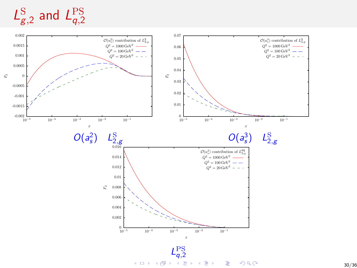$L_{\rm g}^{\rm S}$  $_{\mathcal{g},2}^{\mathrm{S}}$  and  $\mathcal{L}_{q,2}^{\mathrm{PS}}$ q,2

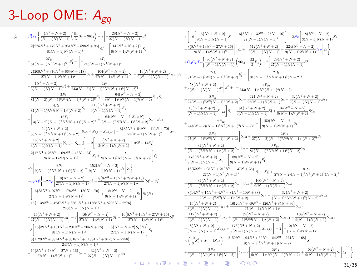# 3-Loop OME:  $A_{gq}$

$$
\begin{array}{ll} a_{pq}^{(3)} & = C_p^2 T r \left[ \frac{(N^2 + N + 2)}{(N - 1)N(N + 1)} \left( \frac{64}{3} B_4 - 96 \zeta_4 \right) - 2 \left[ - \frac{29 (N^2 + N + 2)}{27 (N - 1)N(N + 1)} S_1^4 \right. \\ & & + \frac{2(275 N^4 + 472 N^3 + 951 N^2 + 598 N + 96)}{8 (N - 1)N^2 (N + 1)^2} S_1^2 + \left[ \frac{14 (N^2 + N + 2)}{9 (N - 1)N(N + 1)} S_2 \right. \\ & & - \frac{2 P_0}{81 (N - 1)N^3 (N + 1)^3} \left] S_1^2 + \left[ - \frac{4 P_1}{25 (N - 1)N^4 (N + 1)^2} \right] S_2 + \frac{4 P_1 (N + 2 + 2)}{27 (N - 1)N(N + 1)^4} S_3 - \frac{16 (N^2 + N + 2)}{9 (N - 1)N(N + 1)} S_{2,1} \right] S_1 - \frac{2 P_0}{81 (N - 1)N(N + 1)^2} S_2^2 + \frac{4 P_1 (N + 2 + 2)}{27 (N - 1)N^3 (N + 1)^2 (N + 2)^2} + \frac{4 P_1 (N^2 + N + 2)}{3 (N - 1)2 N^4 (N + 1)^4 (N + 2)^2} S_2 - \frac{6 (N^2 + N + 2)}{(N - 1)2 N^3 (N + 1)^4 (N + 2)^2} + \frac{4 P_2 (N - 1)2 N^3 (N + 1)^3 (N + 2)^2}{8 (N - 1)2 N^3 (N + 1)^4 (N + 2)^2} S_2 - \frac{6 (N^2 + N + 2)}{8 (N - 1)2 N^3 (N + 1)^2 (N + 2)^2} S_3 - \frac{6 (N^2 + N + 2)}{8 (N - 1)^2 N^3 (N + 1)^2 (N + 2)^2} S_4 - \frac{6 (N^2 + N + 2)}{8 (N - 1)^2 N^3 (N + 1)^4 (N + 2)^2} S_5 - \frac{6 (N^2 + N + 2)}{3 (N
$$

$$
\begin{array}{c} \displaystyle \frac{+2)}{7}S_{+}^{4} \end{array} \hspace{0.2cm} \begin{array}{c} \displaystyle \frac{+2}{7}S_{+}^{4} \end{array} \hspace{1.2cm} \begin{array}{c} \displaystyle \frac{+2}{7}S_{+}^{4} \end{array} \hspace{1.2cm} \hspace{0.2cm} \displaystyle \frac{8\left(8N^{3}+13N^{2}+27N+10\right)}{9(N-1)N(N+1)^{2}} \end{array} \hspace{0.2cm} \displaystyle \frac{8\left(4N^{3}+13N^{2}+27N+10\right)}{9(N-1)N(N+1)^{2}} \left[ \left|\frac{3\left(2\left( N^{2}+N+2\right)}{9(N-1)N(N+1)^{2}}\right) \right| \right] \left(2+\left[\frac{512\left(N^{2}+N+2\right)}{9(N-1)N(N+1)^{2}}\right] \left(2\right) \right] \left(2+\left[\frac{512\left(N^{2}+N+2\right)}{9(N-1)N(N+1)}\right) \left(8K_{4} - \frac{2}{3}B_{4}\right) - 2\left[ \frac{26\left(N^{2}+N+2\right)}{2\left(N-1)N(N+1)^{2}} \right] S_{1}^{4} \right. \\ \displaystyle \left. \displaystyle \frac{-(6\left(N^{2}+N+2\right)}{9(N-1)N(N+1)}S_{+}^{1} \right) S_{1}^{4} \end{array} \hspace{1.2cm} \begin{array}{c} \displaystyle \frac{8\left(N^{2}+N+2\right)}{3(N-1)N(N+1)}S_{+}^{2} \end{array} \hspace{1.2cm} \begin{array}{c} \displaystyle \frac{8\left(N^{2}+N+2\right)}{3(N-1)N(N+1)}S_{+}^{2} \end{array} \hspace{1.2cm} \end{array} \hspace{1.2cm} \begin{array}{c} \displaystyle \frac{8\left(N^{2}+N+2\right)}{3(N-1)N(N+1)}S_{+}^{2} \end{array} \hspace{1.2cm} \end{array} \hspace{1.2cm} \begin{array}{c} \displaystyle \frac{8\left(N^{2}+N+2\right)}{3(N-1)N(N+
$$

31/36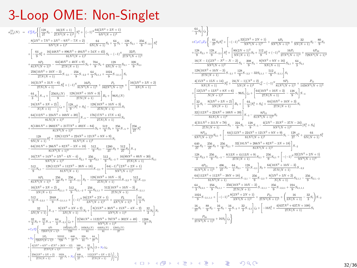# 3-Loop OME: Non-Singlet

 $a_{NS}^{(3)}(N) \;\; = \;\; C_F^2 T_F \Bigg\{ \Bigg[ \frac{128}{27} S_2 - \frac{16(2N+1)}{27 N^2 (N+1)^2} \Bigg] S_1^3 + \Bigg[ (-1)^N \frac{64 \big( 2N^2 + 2N + 1 \big)}{9 N^3 (N+1)^3} \Bigg] \Bigg\} \, .$  $-\frac{8 \left(2 N^5+7 N^4+3 N^3-9 N^2-7 N+2\right)}{9 N^3 (N+1)^3}-\frac{64}{9 N (N+1)}S_2+\frac{64}{3}S_3-\frac{128}{9}S_{2,1}-\frac{256}{9}S_{-2,1}\Bigg]S_1^2$  $+ \Biggl[ - {64\over 9}S_2^2 + {16\bigl(448 N^4 + 896 N^3 + 484 N^2 + 54 N + 45\bigr)\over 81 N^2 (N+1)^2} S_2 - (-1)^N {32 P_1\over 27 N^4 (N+1)^4}$  $+ \frac{8P_2}{81N^4(N+1)^4}- \frac{64\big(40N^2+40N+9\big)}{27N(N+1)}S_3 + \frac{704}{9}S_4 + \frac{128}{9N(N+1)}S_{2,1} - \frac{320}{9}S_{3,1} \, .$  $-\frac{256 \left(10 N^2+10 N-3\right)}{27 N (N+1)} S_{-2,1}-\frac{256}{9} S_{-2,2}+\frac{64}{3} S_{2,1,1}+\frac{1024}{9} S_{-2,1,1} \Bigg] S_1$  $-\frac{16 \left(31 N^2+31 N-6\right)}{27 N (N+1)}S_{2}^{2}+(-1)^N\frac{16 P_3}{81 N^5 (N+1)^5}+\frac{P_4}{162 N^5 (N+1)^5}+\left[\frac{16 \left(3 N^2+3 N+2\right)}{3 N (N+1)}\right]^{2}$  $-\frac{64}{3}S_1\Bigg] S_{-4} + \Bigg[\frac{256S_1(N)}{9} - \frac{128\big(10N^2+10N+3\big)}{27N(N+1)} \Bigg] B_4 + \Bigg[96S_1(N) - \Big(125S_1(N)\Bigg]$  $-\frac{24\left(3N^{2}+3N+2\right)}{N(N+1)}\Biggr]\zeta_{4}+\Biggl[\frac{128}{9}[S_{1}^{2}+S_{2}]-\frac{128\left(10N^{2}+10N+3\right)}{27N(N+1)}S_{1}\Biggr]$  $+ \frac{64 \left(112 N^3+224 N^2+169 N+39\right)}{81 N (N+1)^2} \Biggr] S_{-3} - \frac{176 \left(17 N^2+17 N+6\right)}{27 N (N+1)} S_4$  $+\frac{8 \{1301N^4+2602N^3+2177N^2+492N-84\}}{81N^2(N+1)^2}S_3+\frac{512}{9}S_5+\frac{256}{9}S_{-5}+\Bigg[\frac{256}{27}S_1^3$  $-\frac{128}{9N(N+1)}S_1^2+\frac{128\left(112N^4+224N^3+121N^2+9N+9\right)}{81N^2(N+1)^2}S_1$  $-\frac{64 \left(181 N^4+266 N^3+82 N^2-3 N+18\right)}{81 N^3 (N+1)^3}-\frac{512}{9}S_{2,1}-\frac{1280}{27}S_2+\frac{512}{27}S_3\bigg]S_{-2}\quad$  $+\frac{16\left(7N^4+14N^3+3N^2-4N-4\right)}{9N^2(N+1)^2}S_{2,1}+\frac{256}{9}S_{2,3}-\frac{512}{9}S_{2,-3}+\frac{16\left(89N^2+89N+30\right)}{27N(N+1)}S_{3,1}-\frac{55}{9}S_{4,2}-\frac{16}{9}S_{5,3}$  $-\frac{512}{9}S_{4,1}-\frac{128\left(112N^{3}+112N^{2}-39N+18\right)}{81N^{2}(N+1)}S_{-2,1}+\left[\frac{64(-1)^{N}\left(2N^{2}+2N+1\right)}{9N^{3}(N+1)^{3}}\right].$  $-\frac{8P_5}{81N^3(N+1)^3}+\frac{256}{27}S_3+\frac{256}{3}S_{-2,1}\Bigg]S_2-\frac{128\{10N^2+10N-3\}}{27N(N+1)}S_{-2,2}+\frac{512}{9}S_{-2,3}\quad$  $-\frac{16 \left(3 N^2+3 N+2\right)}{3 N (N+1)} S_{2,1,1}+\frac{512}{9} S_{2,1,-2}+\frac{256}{9} S_{3,1,1}+\frac{512 \left(10 N^2+10 N-3\right)}{27 N (N+1)} S_{-2,1,1}\quad$  $+\frac{512}{9}S_{-2,2,1}-\frac{2048}{9}S_{-2,1,1,1}+\left[(-1)^N\frac{16\left(2N^2+2N+1\right)}{3N^3(N+1)^3}+\frac{P_6}{3N^3(N+1)^3}+\left[\frac{64}{3}S_{1}\right]^{2}\right]$  $-\frac{32}{3N(N+1)}\bigg\vert S_{-2}-\frac{8\big(3N^2+3N+2\big)}{3N(N+1)}S_2+\bigg\lceil \frac{8\big(15N^4+30N^3+15N^2-4N-2\big)}{3N^2(N+1)^2}+\frac{32}{3}S_2\bigg\vert\,S_1-2\bigg\rceil.$  $+\frac{32}{3}S_3+\frac{32}{3}S_{-3}-\frac{64}{3}S_{-2,1}\Bigg]\zeta_2+\Bigg[\frac{2 \big(561 N^4+1122 N^3+767 N^2+302 N+48\big)}{9 N^2 (N+1)^2}-\frac{1208}{9}S_1 +C_F T_F^2 \Biggl\{ -\frac{4P_7}{729N^4(N+1)^4} -\frac{19424S_1(N)}{729} +\frac{1856S_2(N)}{81} -\frac{640S_3(N)}{81} +\frac{128S_4(N)}{27} \Biggr\}$  $+ N_F \Bigg[ \frac{2 P_8}{729 N^4 (N+1)^4} - \frac{55552}{729} S_1 + \frac{640}{27} S_2 - \frac{320}{81} S_3 + \frac{64}{27} S_3 \Bigg] \quad .$  $+ \Bigg[ \frac{4 \{3 N^4 + 6 N^3 + 47 N^2 + 20 N - 12\}}{27 N^2 (N+1)^2} - \frac{160}{27} S_1 + \frac{32}{9} S_2 \Bigg] (2 + N_F) \zeta_2 \quad .$  $+\left[\frac{256\left(3N^{2}+3N+2\right)}{27N(N+1)}-\frac{1024}{27}S_{1}+N_{F}\left(\frac{448}{27}S_{1}-\frac{112\left(3N^{2}+3N+2\right)}{27N(N+1)}\right)\right]\zeta_{3}\Biggr\}$ 

 $-\frac{64}{3}S_2$  <3  $+C_F C_A T_F \Biggl\{ - {64\over 27} S_2 S_1^3 + \Biggl[ -(-1)^N {32(2N^2 + 2N + 1)\over 9N^3(N+1)^3} + {4P_9\over 9N^3(N+1)^3} + {32\over 9N(N+1)} S_2 - {80\over 9} S_3 \Biggr]$  $+\frac{128}{9}S_{2,1}+\frac{128}{9}S_{-2,1}\Biggr]S_{1}^{2}+\Biggl[\frac{80(2N+1)^{2}}{9N(N+1)}S_{3}+\frac{112}{9}S_{2}^{2}+(-1)^{N}\frac{16P_{1}}{27N^{4}(N+1)^{4}}+\frac{4P_{10}}{729N^{4}(N+1)^{4}}\Biggr]$  $-\frac{16(N-1)(2N^3-N^2-N-2)}{9N^2(N+1)^2}S_2-\frac{208}{9}S_4-\frac{8\left(9N^2+9N+16\right)}{9N(N+1)}S_{2,1}+\frac{64}{3}S_{3,1}$  $+\frac{128\left(10N^{2}+10N-3\right)}{27N(N+1)}S_{-2,1}+\frac{128}{9}S_{-2,2}-32S_{2,1,1}-\frac{512}{9}S_{-2,1,1}\biggr]S_{1}\label{eq:19}$  $-\frac{4 \left(15 N^2+15 N+14\right)}{9 N (N+1)}S_2^2+\frac{24 (N-1) \left(N^2+2\right)}{5 N (N+1)^2} \zeta_2^2-(-1)^N \frac{8 P_3}{81 N^5 (N+1)^5}+\frac{P_{11}}{1458 N^5 (N+1)^5}$  $+ \left[ \frac{ 12 \{ 5N^3 + 13N^2 + 8N + 6 \} }{ N(N+1)^2 } - 96 S_1 \right] \zeta_4 + \left[ \frac{ 64 \{ 10N^2 + 10N + 3 \} }{ 27N(N+1) } - \frac{128}{9} S_1 \right] S_{-4} \; .$  $+ \left[ \frac{32}{3} S_1 - \frac{8 \left(3 N^2+3 N+2\right)}{3 N (N+1)} \right] B_4 + \left[ -\frac{64}{9} [S_1^2+S_2] + \frac{64 \left(10 N^2+10 N+3\right)}{27 N (N+1)} S_1 \right]$  $\left.\frac{32\big(112 N^3+224 N^2+169 N+39\big)}{81 N (N+1)^2}\right] S_{-3}-\frac{8 P_{12}}{81 N^2 (N+1)^2} S_3$  $+\frac{4 \left( 311 N^{2}+311 N+78\right) }{27 N(N+1)}S_{4}-\frac{224}{9}S_{5}-\frac{128}{9}S_{-5}-\frac{4 \left( 2 N^{3}-35 N^{2}-37 N-24\right) }{9 N^{3}(N+1)^{2}}[S_{1}^{2}+S_{2}]$  $-\frac{8P_{13}}{9N^2(N+1)^2}S_{2,1}+\left[-\frac{64\left(112N^4+224N^3+121N^2+9N+9\right)}{81N^2(N+1)^2}S_1-\frac{128}{27}S_1^3+\frac{64}{9N(N+1)}S_1^2\right.$  $+\frac{640}{27}S_2-\frac{256}{27}S_3+\frac{256}{9}S_{2,1}+\frac{32\left(181N^4+266N^3+82N^2-3N+18\right)}{81N^3(N+1)^3} \Bigg]S_{-2}$  $-\frac{128}{3}S_{2,3}+\frac{256}{9}S_{2,-3}-\frac{8(13N+4)(13N+9)}{27N(N+1)}S_{3,1}+\frac{256}{9}S_{4,1}+\left[-(-1)^N\frac{32\left(2N^2+2N+1\right)}{9N^3(N+1)^3}\right].$  $-\frac{4P_{14}}{81N^3(N+1)^3}+\frac{496}{27}S_3-\frac{64}{3}S_{2,1}-\frac{128}{3}S_{-2,1}\Bigg]S_2+\frac{64\big(10N^2+10N-3\big)}{27N(N+1)}S_{-2,2}$  $+\frac{64\left(112N^{3}+112N^{2}-39N+18\right)}{81N^{2}(N+1)}S_{-2,1}-\frac{256}{9}S_{-2,3}+\frac{8\left(3N^{2}+3N+2\right)}{N(N+1)}S_{2,1,1}-\frac{256}{9}S_{2,1,-2}$  $+\frac{64}{3}S_{2,2,1}-\frac{256}{9}S_{3,1,1}-\frac{256\left(10N^{2}+10N-3\right)}{27N\left(N+1\right)}S_{-2,1,1}-\frac{256}{9}S_{-2,2,1}+\frac{224}{9}S_{2,1,1,1}\label{eq:43}$  $+\frac{1024}{9} S_{-2,1,1,1}+\bigg[-(-1)^N\frac{8\big(2N^2+2N+1\big)}{3N^3(N+1)^3}+\frac{P_{15}}{27N^3(N+1)^3}+\bigg(\frac{16}{3N(N+1)}-\frac{32}{3}S_1\bigg)S_{-2}\hspace{3.8cm}$  $-\frac{16}{27}S_1-\frac{88}{9}S_2-\frac{16}{3}S_3-\frac{16}{3}S_{-3}+\frac{32}{3}S_{-2,1}\Bigg]\zeta_2+\Bigg[-16S_1^2+\frac{4\big(637N^2+637N+108\big)}{27N(N+1)}S_1-2\big(65S_1+65S_2+8\big)\Bigg]\zeta_2+\Bigg[\frac{1}{27}S_1+\frac{1}{27}\Bigg]\zeta_3+\frac{1}{27}\Bigg]\zeta_4+\frac{1}{27}\Bigg]\zeta_5$  $+\frac{P_{16}}{27N^2(N+1)^2}+16S_2\Biggr\vert\zeta_3\Biggr\}$ 

K ロ ▶ K 個 ▶ K 로 ▶ K 로 ▶ 『로 『 9 Q @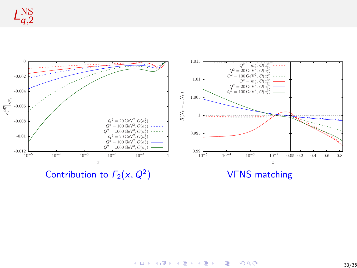

 $A \equiv \mathbb{I} \rightarrow A \stackrel{\text{def}}{\Rightarrow} A \stackrel{\text{def}}{\Rightarrow} A \stackrel{\text{def}}{\Rightarrow} A \stackrel{\text{def}}{\Rightarrow} A$  $299$ ÷,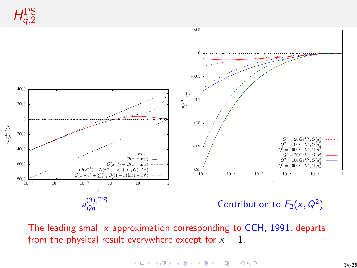H PS q,2



The leading small  $x$  approximation corresponding to CCH, 1991, departs from the physical result everywhere except for  $x = 1$ .

> イロト イ押 トイヨ トイヨト  $\equiv$  990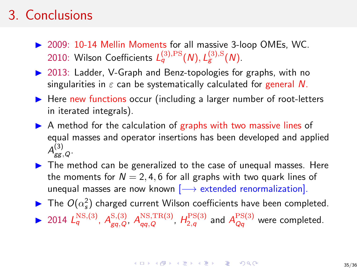# 3. Conclusions

- $\triangleright$  2009: 10-14 Mellin Moments for all massive 3-loop OMEs, WC. 2010: Wilson Coefficients  $L_q^{(3),\text{PS}}(\mathcal{N}), L_g^{(3),\text{S}}(\mathcal{N}).$
- $\triangleright$  2013: Ladder, V-Graph and Benz-topologies for graphs, with no singularities in  $\varepsilon$  can be systematically calculated for general N.
- $\triangleright$  Here new functions occur (including a larger number of root-letters in iterated integrals).
- $\triangleright$  A method for the calculation of graphs with two massive lines of equal masses and operator insertions has been developed and applied  $A_{\rm gg,\,Q}^{(3)}$  .
- $\triangleright$  The method can be generalized to the case of unequal masses. Here the moments for  $N = 2, 4, 6$  for all graphs with two quark lines of unequal masses are now known  $[\longrightarrow$  extended renormalization].
- $\blacktriangleright$  The  $O(\alpha_s^2)$  charged current Wilson coefficients have been completed. ▶ 2014  $L_q^{\text{NS},(3)}$ ,  $A_{gq,Q}^{\text{NS},(3)}$ ,  $A_{qq,Q}^{\text{NS},\text{TR(3)}}$ ,  $H_{2,q}^{\text{PS}(3)}$  and  $A_{Qq}^{\text{PS}(3)}$  were completed.